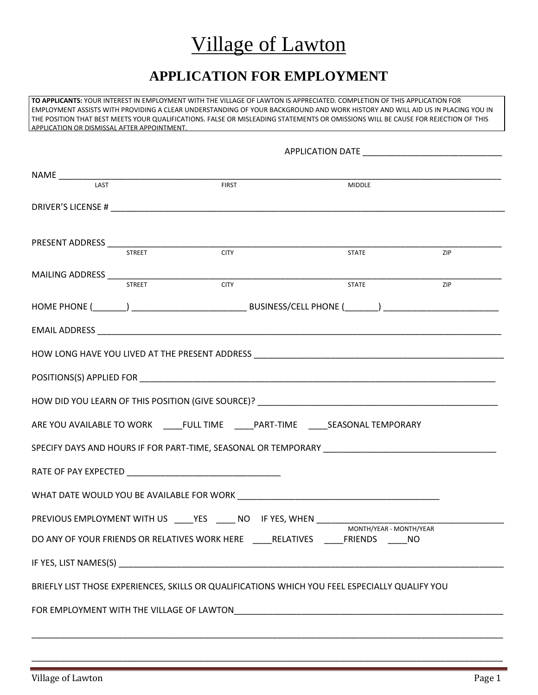## Village of Lawton

### **APPLICATION FOR EMPLOYMENT**

**TO APPLICANTS:** YOUR INTEREST IN EMPLOYMENT WITH THE VILLAGE OF LAWTON IS APPRECIATED. COMPLETION OF THIS APPLICATION FOR EMPLOYMENT ASSISTS WITH PROVIDING A CLEAR UNDERSTANDING OF YOUR BACKGROUND AND WORK HISTORY AND WILL AID US IN PLACING YOU IN THE POSITION THAT BEST MEETS YOUR QUALIFICATIONS. FALSE OR MISLEADING STATEMENTS OR OMISSIONS WILL BE CAUSE FOR REJECTION OF THIS APPLICATION OR DISMISSAL AFTER APPOINTMENT.

| <b>LAST</b> |               | <b>FIRST</b>                                                         | MIDDLE                                                                                                                                                                                                                         |     |  |  |
|-------------|---------------|----------------------------------------------------------------------|--------------------------------------------------------------------------------------------------------------------------------------------------------------------------------------------------------------------------------|-----|--|--|
|             |               |                                                                      |                                                                                                                                                                                                                                |     |  |  |
|             |               |                                                                      |                                                                                                                                                                                                                                |     |  |  |
|             | <b>STREET</b> | <b>CITY</b>                                                          | <b>STATE</b>                                                                                                                                                                                                                   | ZIP |  |  |
|             |               |                                                                      |                                                                                                                                                                                                                                |     |  |  |
|             | <b>STREET</b> | <b>CITY</b>                                                          | <b>STATE</b>                                                                                                                                                                                                                   | ZIP |  |  |
|             |               |                                                                      |                                                                                                                                                                                                                                |     |  |  |
|             |               |                                                                      |                                                                                                                                                                                                                                |     |  |  |
|             |               |                                                                      |                                                                                                                                                                                                                                |     |  |  |
|             |               |                                                                      |                                                                                                                                                                                                                                |     |  |  |
|             |               |                                                                      |                                                                                                                                                                                                                                |     |  |  |
|             |               |                                                                      |                                                                                                                                                                                                                                |     |  |  |
|             |               |                                                                      | ARE YOU AVAILABLE TO WORK _____FULL TIME ______PART-TIME _______SEASONAL TEMPORARY                                                                                                                                             |     |  |  |
|             |               |                                                                      | SPECIFY DAYS AND HOURS IF FOR PART-TIME, SEASONAL OR TEMPORARY LETTER THAN AND THE RESERVE THANK AND THE RESERVE THANK AND THE RESERVE THANK AND THE RESERVE THANK AND THE RESERVE THANK AND THE RESERVE THANK AND THE RESERVE |     |  |  |
|             |               |                                                                      |                                                                                                                                                                                                                                |     |  |  |
|             |               |                                                                      | WHAT DATE WOULD YOU BE AVAILABLE FOR WORK NORTHLOAD AND THE RESERVE TO A RESERVE THE RESERVE TO A RESERVE THE R                                                                                                                |     |  |  |
|             |               | PREVIOUS EMPLOYMENT WITH US ____YES _____ NO IF YES, WHEN __________ |                                                                                                                                                                                                                                |     |  |  |
|             |               |                                                                      | MONTH/YEAR - MONTH/YEAR<br>DO ANY OF YOUR FRIENDS OR RELATIVES WORK HERE _____RELATIVES ______FRIENDS _____NO                                                                                                                  |     |  |  |
|             |               |                                                                      |                                                                                                                                                                                                                                |     |  |  |
|             |               |                                                                      | BRIEFLY LIST THOSE EXPERIENCES, SKILLS OR QUALIFICATIONS WHICH YOU FEEL ESPECIALLY QUALIFY YOU                                                                                                                                 |     |  |  |
|             |               |                                                                      |                                                                                                                                                                                                                                |     |  |  |
|             |               |                                                                      |                                                                                                                                                                                                                                |     |  |  |

\_\_\_\_\_\_\_\_\_\_\_\_\_\_\_\_\_\_\_\_\_\_\_\_\_\_\_\_\_\_\_\_\_\_\_\_\_\_\_\_\_\_\_\_\_\_\_\_\_\_\_\_\_\_\_\_\_\_\_\_\_\_\_\_\_\_\_\_\_\_\_\_\_\_\_\_\_\_\_\_\_\_\_\_\_\_\_\_\_\_\_\_\_\_\_\_\_\_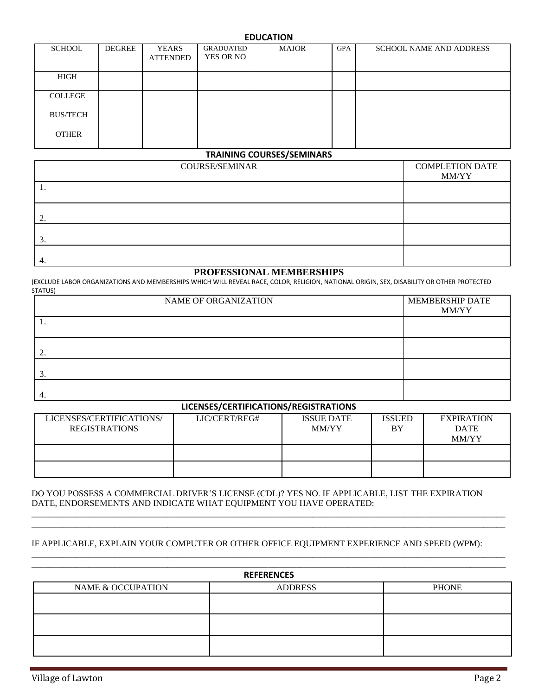#### **EDUCATION**

| <b>SCHOOL</b>   | <b>DEGREE</b> | <b>YEARS</b><br><b>ATTENDED</b> | <b>GRADUATED</b><br>YES OR NO | <b>MAJOR</b> | <b>GPA</b> | <b>SCHOOL NAME AND ADDRESS</b> |
|-----------------|---------------|---------------------------------|-------------------------------|--------------|------------|--------------------------------|
| HIGH            |               |                                 |                               |              |            |                                |
| <b>COLLEGE</b>  |               |                                 |                               |              |            |                                |
| <b>BUS/TECH</b> |               |                                 |                               |              |            |                                |
| <b>OTHER</b>    |               |                                 |                               |              |            |                                |

#### **TRAINING COURSES/SEMINARS**

| <b>COURSE/SEMINAR</b> | <b>COMPLETION DATE</b> |
|-----------------------|------------------------|
|                       | MM/YY                  |
| .,                    |                        |
|                       |                        |
|                       |                        |
|                       |                        |
|                       |                        |
| ◡                     |                        |
|                       |                        |
| 4.                    |                        |

#### **PROFESSIONAL MEMBERSHIPS**

(EXCLUDE LABOR ORGANIZATIONS AND MEMBERSHIPS WHICH WILL REVEAL RACE, COLOR, RELIGION, NATIONAL ORIGIN, SEX, DISABILITY OR OTHER PROTECTED STATUS)

| NAME OF ORGANIZATION | MEMBERSHIP DATE |
|----------------------|-----------------|
|                      | MM/YY           |
| . .                  |                 |
|                      |                 |
|                      |                 |
|                      |                 |
| C.                   |                 |
|                      |                 |
|                      |                 |

#### **LICENSES/CERTIFICATIONS/REGISTRATIONS**

| LICENSES/CERTIFICATIONS/<br><b>REGISTRATIONS</b> | LIC/CERT/REG# | <b>ISSUE DATE</b><br><b>MM/YY</b> | <b>ISSUED</b><br>BY | <b>EXPIRATION</b><br><b>DATE</b><br><b>MM/YY</b> |
|--------------------------------------------------|---------------|-----------------------------------|---------------------|--------------------------------------------------|
|                                                  |               |                                   |                     |                                                  |
|                                                  |               |                                   |                     |                                                  |

DO YOU POSSESS A COMMERCIAL DRIVER'S LICENSE (CDL)? YES NO. IF APPLICABLE, LIST THE EXPIRATION DATE, ENDORSEMENTS AND INDICATE WHAT EQUIPMENT YOU HAVE OPERATED:

\_\_\_\_\_\_\_\_\_\_\_\_\_\_\_\_\_\_\_\_\_\_\_\_\_\_\_\_\_\_\_\_\_\_\_\_\_\_\_\_\_\_\_\_\_\_\_\_\_\_\_\_\_\_\_\_\_\_\_\_\_\_\_\_\_\_\_\_\_\_\_\_\_\_\_\_\_\_\_\_\_\_\_\_\_\_\_\_\_\_\_\_\_\_\_\_\_\_\_\_\_\_\_\_\_\_\_\_ \_\_\_\_\_\_\_\_\_\_\_\_\_\_\_\_\_\_\_\_\_\_\_\_\_\_\_\_\_\_\_\_\_\_\_\_\_\_\_\_\_\_\_\_\_\_\_\_\_\_\_\_\_\_\_\_\_\_\_\_\_\_\_\_\_\_\_\_\_\_\_\_\_\_\_\_\_\_\_\_\_\_\_\_\_\_\_\_\_\_\_\_\_\_\_\_\_\_\_\_\_\_\_\_\_\_\_\_

\_\_\_\_\_\_\_\_\_\_\_\_\_\_\_\_\_\_\_\_\_\_\_\_\_\_\_\_\_\_\_\_\_\_\_\_\_\_\_\_\_\_\_\_\_\_\_\_\_\_\_\_\_\_\_\_\_\_\_\_\_\_\_\_\_\_\_\_\_\_\_\_\_\_\_\_\_\_\_\_\_\_\_\_\_\_\_\_\_\_\_\_\_\_\_\_\_\_\_\_\_\_\_\_\_\_\_\_

#### IF APPLICABLE, EXPLAIN YOUR COMPUTER OR OTHER OFFICE EQUIPMENT EXPERIENCE AND SPEED (WPM):

|                   | <b>REFERENCES</b> |              |
|-------------------|-------------------|--------------|
| NAME & OCCUPATION | <b>ADDRESS</b>    | <b>PHONE</b> |
|                   |                   |              |
|                   |                   |              |
|                   |                   |              |
|                   |                   |              |
|                   |                   |              |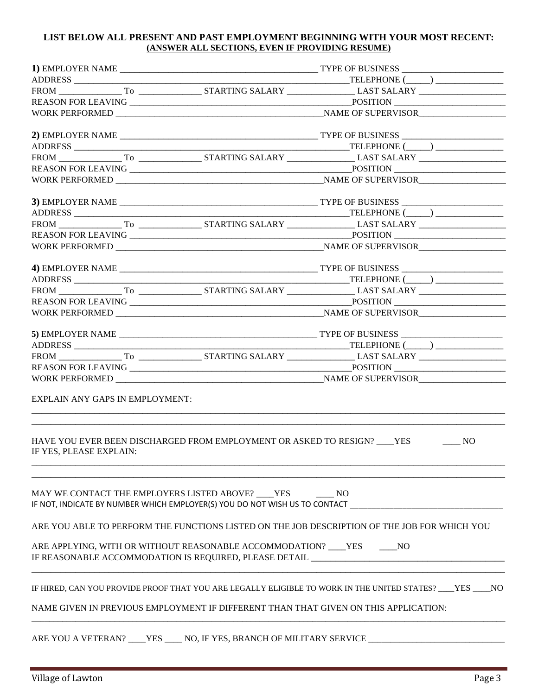#### **LIST BELOW ALL PRESENT AND PAST EMPLOYMENT BEGINNING WITH YOUR MOST RECENT: (ANSWER ALL SECTIONS, EVEN IF PROVIDING RESUME)**

| <b>EXPLAIN ANY GAPS IN EMPLOYMENT:</b> |                                                                                                                                                                      |                  |
|----------------------------------------|----------------------------------------------------------------------------------------------------------------------------------------------------------------------|------------------|
| IF YES, PLEASE EXPLAIN:                | HAVE YOU EVER BEEN DISCHARGED FROM EMPLOYMENT OR ASKED TO RESIGN? ___ YES                                                                                            | $\frac{1}{1}$ NO |
|                                        | MAY WE CONTACT THE EMPLOYERS LISTED ABOVE? ___ YES ______ NO<br>IF NOT, INDICATE BY NUMBER WHICH EMPLOYER(S) YOU DO NOT WISH US TO CONTACT _________________________ |                  |
|                                        | ARE YOU ABLE TO PERFORM THE FUNCTIONS LISTED ON THE JOB DESCRIPTION OF THE JOB FOR WHICH YOU                                                                         |                  |
|                                        | ARE APPLYING, WITH OR WITHOUT REASONABLE ACCOMMODATION? ____YES ______NO<br>IF REASONABLE ACCOMMODATION IS REQUIRED, PLEASE DETAIL __________________________        |                  |
|                                        | IF HIRED, CAN YOU PROVIDE PROOF THAT YOU ARE LEGALLY ELIGIBLE TO WORK IN THE UNITED STATES? ___YES ____NO                                                            |                  |
|                                        | NAME GIVEN IN PREVIOUS EMPLOYMENT IF DIFFERENT THAN THAT GIVEN ON THIS APPLICATION:                                                                                  |                  |
|                                        | ARE YOU A VETERAN? ____YES _____ NO, IF YES, BRANCH OF MILITARY SERVICE                                                                                              |                  |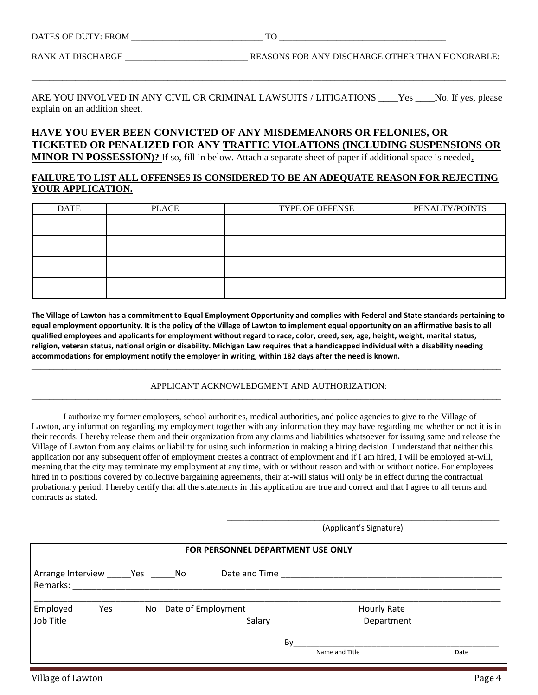RANK AT DISCHARGE \_\_\_\_\_\_\_\_\_\_\_\_\_\_\_\_\_\_\_\_\_\_\_\_\_\_\_\_\_\_\_\_\_REASONS FOR ANY DISCHARGE OTHER THAN HONORABLE:

ARE YOU INVOLVED IN ANY CIVIL OR CRIMINAL LAWSUITS / LITIGATIONS \_\_\_\_Yes \_\_\_\_No. If yes, please explain on an addition sheet.

\_\_\_\_\_\_\_\_\_\_\_\_\_\_\_\_\_\_\_\_\_\_\_\_\_\_\_\_\_\_\_\_\_\_\_\_\_\_\_\_\_\_\_\_\_\_\_\_\_\_\_\_\_\_\_\_\_\_\_\_\_\_\_\_\_\_\_\_\_\_\_\_\_\_\_\_\_\_\_\_\_\_\_\_\_\_\_\_\_\_\_\_\_\_\_\_\_\_\_\_\_\_\_\_\_\_\_\_

### **HAVE YOU EVER BEEN CONVICTED OF ANY MISDEMEANORS OR FELONIES, OR TICKETED OR PENALIZED FOR ANY TRAFFIC VIOLATIONS (INCLUDING SUSPENSIONS OR**

**MINOR IN POSSESSION)?** If so, fill in below. Attach a separate sheet of paper if additional space is needed**.**

#### **FAILURE TO LIST ALL OFFENSES IS CONSIDERED TO BE AN ADEQUATE REASON FOR REJECTING YOUR APPLICATION.**

| <b>DATE</b> | <b>PLACE</b> | TYPE OF OFFENSE | PENALTY/POINTS |
|-------------|--------------|-----------------|----------------|
|             |              |                 |                |
|             |              |                 |                |
|             |              |                 |                |
|             |              |                 |                |
|             |              |                 |                |
|             |              |                 |                |
|             |              |                 |                |
|             |              |                 |                |

**The Village of Lawton has a commitment to Equal Employment Opportunity and complies with Federal and State standards pertaining to equal employment opportunity. It is the policy of the Village of Lawton to implement equal opportunity on an affirmative basis to all qualified employees and applicants for employment without regard to race, color, creed, sex, age, height, weight, marital status, religion, veteran status, national origin or disability. Michigan Law requires that a handicapped individual with a disability needing accommodations for employment notify the employer in writing, within 182 days after the need is known.**

#### APPLICANT ACKNOWLEDGMENT AND AUTHORIZATION: \_\_\_\_\_\_\_\_\_\_\_\_\_\_\_\_\_\_\_\_\_\_\_\_\_\_\_\_\_\_\_\_\_\_\_\_\_\_\_\_\_\_\_\_\_\_\_\_\_\_\_\_\_\_\_\_\_\_\_\_\_\_\_\_\_\_\_\_\_\_\_\_\_\_\_\_\_\_\_\_\_\_\_\_\_\_\_\_\_\_\_\_\_\_\_\_\_\_\_\_\_\_\_\_\_\_\_

\_\_\_\_\_\_\_\_\_\_\_\_\_\_\_\_\_\_\_\_\_\_\_\_\_\_\_\_\_\_\_\_\_\_\_\_\_\_\_\_\_\_\_\_\_\_\_\_\_\_\_\_\_\_\_\_\_\_\_\_\_\_\_\_\_\_\_\_\_\_\_\_\_\_\_\_\_\_\_\_\_\_\_\_\_\_\_\_\_\_\_\_\_\_\_\_\_\_\_\_\_\_\_\_\_\_\_

I authorize my former employers, school authorities, medical authorities, and police agencies to give to the Village of Lawton, any information regarding my employment together with any information they may have regarding me whether or not it is in their records. I hereby release them and their organization from any claims and liabilities whatsoever for issuing same and release the Village of Lawton from any claims or liability for using such information in making a hiring decision. I understand that neither this application nor any subsequent offer of employment creates a contract of employment and if I am hired, I will be employed at-will, meaning that the city may terminate my employment at any time, with or without reason and with or without notice. For employees hired in to positions covered by collective bargaining agreements, their at-will status will only be in effect during the contractual probationary period. I hereby certify that all the statements in this application are true and correct and that I agree to all terms and contracts as stated.

\_\_\_\_\_\_\_\_\_\_\_\_\_\_\_\_\_\_\_\_\_\_\_\_\_\_\_\_\_\_\_\_\_\_\_\_\_\_\_\_\_\_\_\_\_\_\_\_\_\_\_\_\_\_\_\_\_\_\_\_\_\_

(Applicant's Signature)

| FOR PERSONNEL DEPARTMENT USE ONLY                                                                                                         |        |                                             |      |  |  |  |
|-------------------------------------------------------------------------------------------------------------------------------------------|--------|---------------------------------------------|------|--|--|--|
| Arrange Interview Yes No<br>Remarks: 2008. 2008. 2009. 2009. 2010. 2010. 2010. 2010. 2010. 2010. 2010. 2010. 2010. 2010. 2010. 2010. 2010 |        |                                             |      |  |  |  |
| Employed ______ Yes _______ No Date of Employment ______________________________                                                          | Salary | Hourly Rate___________<br><b>Department</b> |      |  |  |  |
|                                                                                                                                           | By     | Name and Title                              | Date |  |  |  |